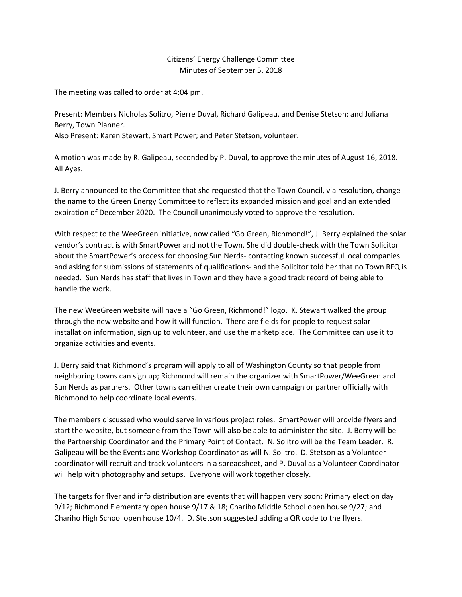## Citizens' Energy Challenge Committee Minutes of September 5, 2018

The meeting was called to order at 4:04 pm.

Present: Members Nicholas Solitro, Pierre Duval, Richard Galipeau, and Denise Stetson; and Juliana Berry, Town Planner.

Also Present: Karen Stewart, Smart Power; and Peter Stetson, volunteer.

A motion was made by R. Galipeau, seconded by P. Duval, to approve the minutes of August 16, 2018. All Ayes.

J. Berry announced to the Committee that she requested that the Town Council, via resolution, change the name to the Green Energy Committee to reflect its expanded mission and goal and an extended expiration of December 2020. The Council unanimously voted to approve the resolution.

With respect to the WeeGreen initiative, now called "Go Green, Richmond!", J. Berry explained the solar vendor's contract is with SmartPower and not the Town. She did double-check with the Town Solicitor about the SmartPower's process for choosing Sun Nerds- contacting known successful local companies and asking for submissions of statements of qualifications- and the Solicitor told her that no Town RFQ is needed. Sun Nerds has staff that lives in Town and they have a good track record of being able to handle the work.

The new WeeGreen website will have a "Go Green, Richmond!" logo. K. Stewart walked the group through the new website and how it will function. There are fields for people to request solar installation information, sign up to volunteer, and use the marketplace. The Committee can use it to organize activities and events.

J. Berry said that Richmond's program will apply to all of Washington County so that people from neighboring towns can sign up; Richmond will remain the organizer with SmartPower/WeeGreen and Sun Nerds as partners. Other towns can either create their own campaign or partner officially with Richmond to help coordinate local events.

The members discussed who would serve in various project roles. SmartPower will provide flyers and start the website, but someone from the Town will also be able to administer the site. J. Berry will be the Partnership Coordinator and the Primary Point of Contact. N. Solitro will be the Team Leader. R. Galipeau will be the Events and Workshop Coordinator as will N. Solitro. D. Stetson as a Volunteer coordinator will recruit and track volunteers in a spreadsheet, and P. Duval as a Volunteer Coordinator will help with photography and setups. Everyone will work together closely.

The targets for flyer and info distribution are events that will happen very soon: Primary election day 9/12; Richmond Elementary open house 9/17 & 18; Chariho Middle School open house 9/27; and Chariho High School open house 10/4. D. Stetson suggested adding a QR code to the flyers.